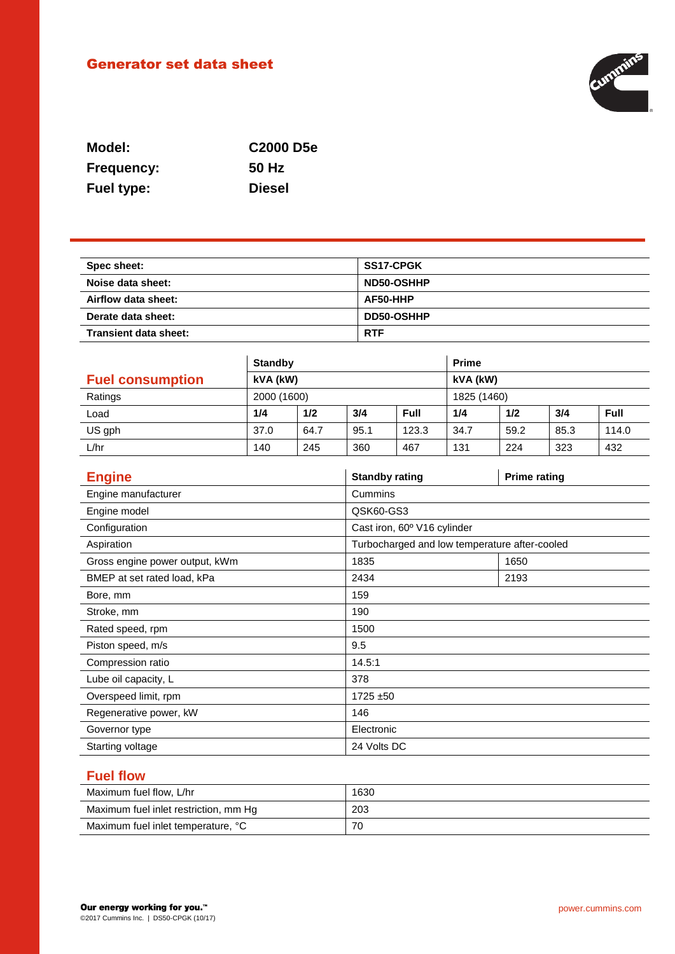# Generator set data sheet



| Model:            | C <sub>2000</sub> D <sub>5e</sub> |
|-------------------|-----------------------------------|
| <b>Frequency:</b> | 50 Hz                             |
| Fuel type:        | <b>Diesel</b>                     |

| Spec sheet:           | <b>SS17-CPGK</b> |
|-----------------------|------------------|
| Noise data sheet:     | ND50-OSHHP       |
| Airflow data sheet:   | AF50-HHP         |
| Derate data sheet:    | DD50-OSHHP       |
| Transient data sheet: | <b>RTF</b>       |

|                         | <b>Standby</b> |      |      | <b>Prime</b> |      |      |      |       |
|-------------------------|----------------|------|------|--------------|------|------|------|-------|
| <b>Fuel consumption</b> | kVA (kW)       |      |      | kVA (kW)     |      |      |      |       |
| Ratings                 | 2000 (1600)    |      |      | 1825 (1460)  |      |      |      |       |
| Load                    | 1/4            | 1/2  | 3/4  | <b>Full</b>  | 1/4  | 1/2  | 3/4  | Full  |
| US gph                  | 37.0           | 64.7 | 95.1 | 123.3        | 34.7 | 59.2 | 85.3 | 114.0 |
| L/hr                    | 140            | 245  | 360  | 467          | 131  | 224  | 323  | 432   |

| <b>Engine</b>                  | <b>Standby rating</b>                         | <b>Prime rating</b> |
|--------------------------------|-----------------------------------------------|---------------------|
| Engine manufacturer            | Cummins                                       |                     |
| Engine model                   | QSK60-GS3                                     |                     |
| Configuration                  | Cast iron, 60° V16 cylinder                   |                     |
| Aspiration                     | Turbocharged and low temperature after-cooled |                     |
| Gross engine power output, kWm | 1835                                          | 1650                |
| BMEP at set rated load, kPa    | 2434                                          | 2193                |
| Bore, mm                       | 159                                           |                     |
| Stroke, mm                     | 190                                           |                     |
| Rated speed, rpm               | 1500                                          |                     |
| Piston speed, m/s              | 9.5                                           |                     |
| Compression ratio              | 14.5:1                                        |                     |
| Lube oil capacity, L           | 378                                           |                     |
| Overspeed limit, rpm           | 1725 ±50                                      |                     |
| Regenerative power, kW         | 146                                           |                     |
| Governor type                  | Electronic                                    |                     |
| Starting voltage               | 24 Volts DC                                   |                     |

## **Fuel flow**

| Maximum fuel flow, L/hr               | 1630 |
|---------------------------------------|------|
| Maximum fuel inlet restriction, mm Hg | 203  |
| Maximum fuel inlet temperature, °C    | 70   |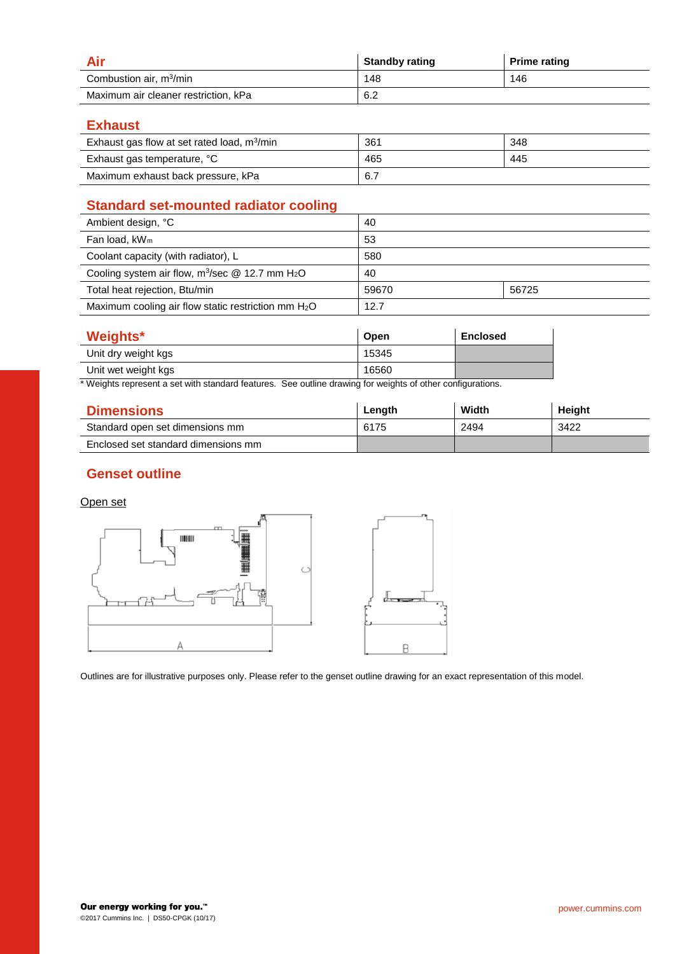|                                      | <b>Standby rating</b> | <b>Prime rating</b> |
|--------------------------------------|-----------------------|---------------------|
| Combustion air, m <sup>3</sup> /min  | 148                   | 146                 |
| Maximum air cleaner restriction, kPa | 6.2                   |                     |

#### **Exhaust**

| Exhaust gas flow at set rated load, $m^3/m$ in | 361 | 348 |
|------------------------------------------------|-----|-----|
| Exhaust gas temperature, °C                    | 465 | 445 |
| Maximum exhaust back pressure, kPa             | 6.7 |     |

# **Standard set-mounted radiator cooling**

| Ambient design, °C                                             | 40    |       |
|----------------------------------------------------------------|-------|-------|
| Fan load, $kW_m$                                               | 53    |       |
| Coolant capacity (with radiator), L                            | 580   |       |
| Cooling system air flow, $m^3$ /sec @ 12.7 mm H <sub>2</sub> O | 40    |       |
| Total heat rejection, Btu/min                                  | 59670 | 56725 |
| Maximum cooling air flow static restriction mm $H_2O$          | 12.7  |       |

| Weights*            | <b>Open</b> | <b>Enclosed</b> |
|---------------------|-------------|-----------------|
| Unit dry weight kgs | 15345       |                 |
| Unit wet weight kgs | 16560       |                 |

\* Weights represent a set with standard features. See outline drawing for weights of other configurations.

| <b>Dimensions</b>                   | Length | Width | Height |
|-------------------------------------|--------|-------|--------|
| Standard open set dimensions mm     | 6175   | 2494  | 3422   |
| Enclosed set standard dimensions mm |        |       |        |

### **Genset outline**

#### Open set



Outlines are for illustrative purposes only. Please refer to the genset outline drawing for an exact representation of this model.